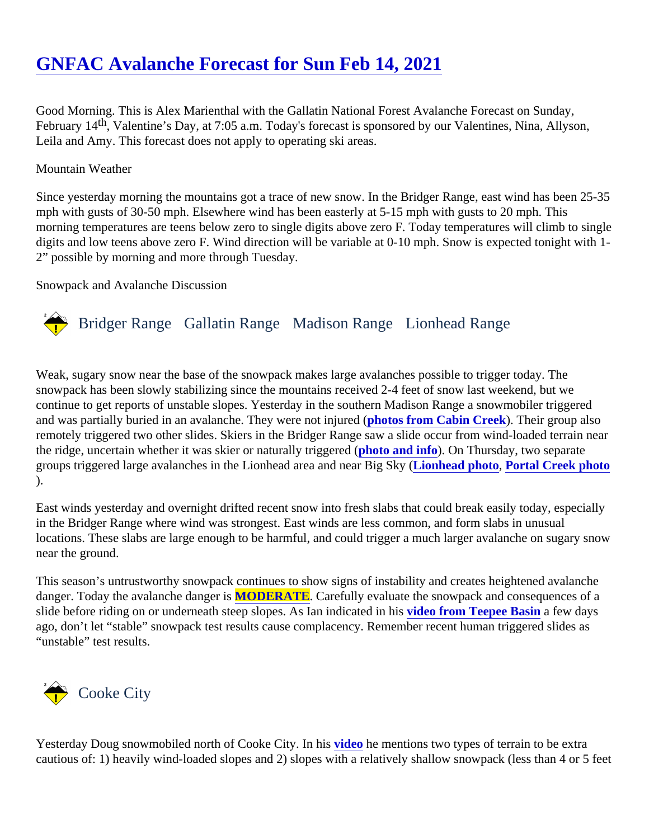# [GNFAC Avalanche Forecast for Sun Feb 14, 202](https://www.mtavalanche.com/forecast/21/02/14)1

Good Morning. This is Alex Marienthal with the Gallatin National Forest Avalanche Forecast on Sunday, February 1<sup>th</sup>, Valentine's Day, at 7:05 a.m. Today's forecast is sponsored by our Valentines, Nina, Allyson, Leila and Amy. This forecast does not apply to operating ski areas.

#### Mountain Weather

Since yesterday morning the mountains got a trace of new snow. In the Bridger Range, east wind has been 2 mph with gusts of 30-50 mph. Elsewhere wind has been easterly at 5-15 mph with gusts to 20 mph. This morning temperatures are teens below zero to single digits above zero F. Today temperatures will climb to single digits and low teens above zero F. Wind direction will be variable at 0-10 mph. Snow is expected tonight with 2" possible by morning and more through Tuesday.

#### Snowpack and Avalanche Discussion

## Bridger Range Gallatin Range Madison RangeLionhead Range

Weak, sugary snow near the base of the snowpack makes large avalanches possible to trigger today. The snowpack has been slowly stabilizing since the mountains received 2-4 feet of snow last weekend, but we continue to get reports of unstable slopes. Yesterday in the southern Madison Range a snowmobiler triggered and was partially buried in an avalanche. They were not injured of from Cabin Creek). Their group also remotely triggered two other slides. Skiers in the Bridger Range saw a slide occur from wind-loaded terrain ne the ridge, uncertain whether it was skier or naturally triggered to and info). On Thursday, two separate groups triggered large avalanches in the Lionhead area and near Blgo keed photo, [Portal Creek photo](https://www.mtavalanche.com/images/21/remotely-triggered-slide-portal-1) ).

East winds yesterday and overnight drifted recent snow into fresh slabs that could break easily today, especia in the Bridger Range where wind was strongest. East winds are less common, and form slabs in unusual locations. These slabs are large enough to be harmful, and could trigger a much larger avalanche on sugary so near the ground.

This season's untrustworthy snowpack continues to show signs of instability and creates heightened avalancl danger. Today the avalanche dangeMODERATE . Carefully evaluate the snowpack and consequences of a slide before riding on or underneath steep slopes. As Ian indicated in distrom Teepee Basina few days ago, don't let "stable" snowpack test results cause complacency. Remember recent human triggered slides as "unstable" test results.

## Cooke City

Yesterday Doug snowmobiled north of Cooke City. In *his* to he mentions two types of terrain to be extra cautious of: 1) heavily wind-loaded slopes and 2) slopes with a relatively shallow snowpack (less than 4 or 5 f